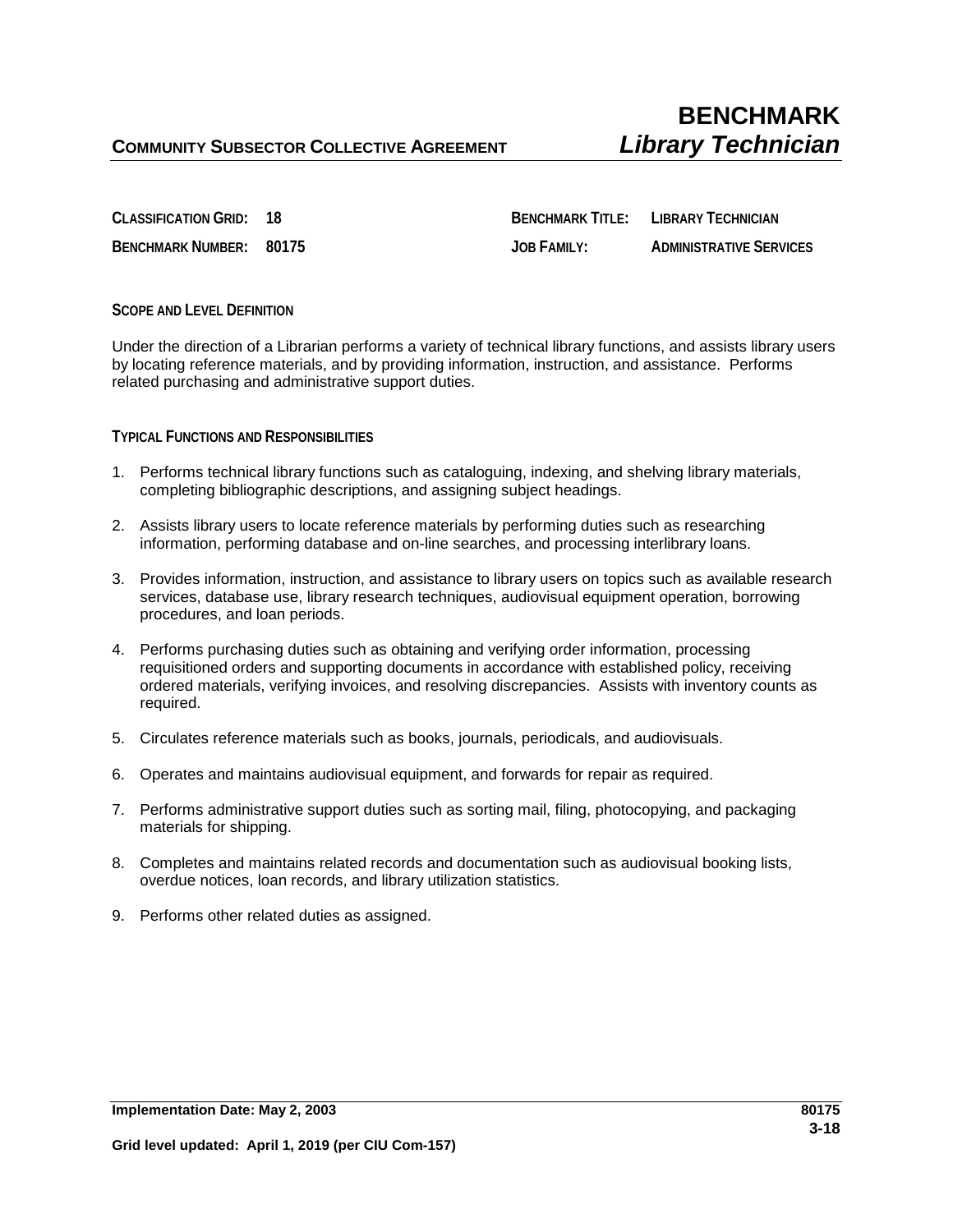**CLASSIFICATION GRID: 18 BENCHMARK TITLE: LIBRARY TECHNICIAN BENCHMARK NUMBER: 80175 JOB FAMILY: ADMINISTRATIVE SERVICES**

## **SCOPE AND LEVEL DEFINITION**

Under the direction of a Librarian performs a variety of technical library functions, and assists library users by locating reference materials, and by providing information, instruction, and assistance. Performs related purchasing and administrative support duties.

## **TYPICAL FUNCTIONS AND RESPONSIBILITIES**

- 1. Performs technical library functions such as cataloguing, indexing, and shelving library materials, completing bibliographic descriptions, and assigning subject headings.
- 2. Assists library users to locate reference materials by performing duties such as researching information, performing database and on-line searches, and processing interlibrary loans.
- 3. Provides information, instruction, and assistance to library users on topics such as available research services, database use, library research techniques, audiovisual equipment operation, borrowing procedures, and loan periods.
- 4. Performs purchasing duties such as obtaining and verifying order information, processing requisitioned orders and supporting documents in accordance with established policy, receiving ordered materials, verifying invoices, and resolving discrepancies. Assists with inventory counts as required.
- 5. Circulates reference materials such as books, journals, periodicals, and audiovisuals.
- 6. Operates and maintains audiovisual equipment, and forwards for repair as required.
- 7. Performs administrative support duties such as sorting mail, filing, photocopying, and packaging materials for shipping.
- 8. Completes and maintains related records and documentation such as audiovisual booking lists, overdue notices, loan records, and library utilization statistics.
- 9. Performs other related duties as assigned.